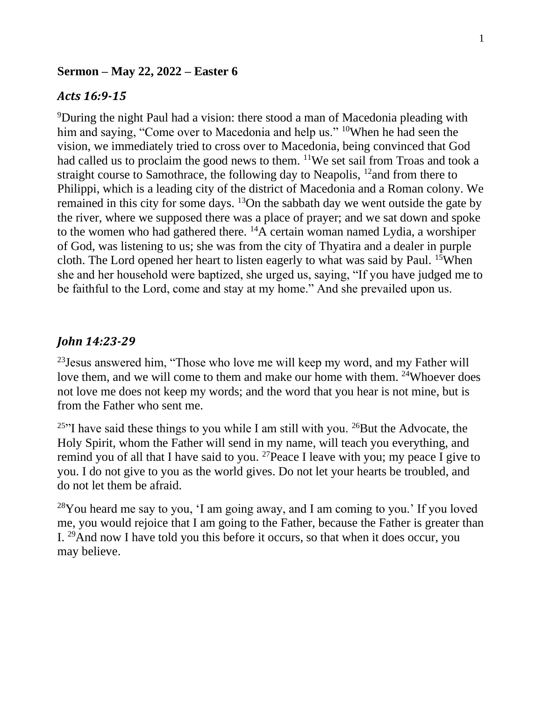## **Sermon – May 22, 2022 – Easter 6**

## *Acts 16:9-15*

<sup>9</sup>During the night Paul had a vision: there stood a man of Macedonia pleading with him and saying, "Come over to Macedonia and help us." <sup>10</sup>When he had seen the vision, we immediately tried to cross over to Macedonia, being convinced that God had called us to proclaim the good news to them. <sup>11</sup>We set sail from Troas and took a straight course to Samothrace, the following day to Neapolis,  $^{12}$  and from there to Philippi, which is a leading city of the district of Macedonia and a Roman colony. We remained in this city for some days. <sup>13</sup>On the sabbath day we went outside the gate by the river, where we supposed there was a place of prayer; and we sat down and spoke to the women who had gathered there.  $^{14}$ A certain woman named Lydia, a worshiper of God, was listening to us; she was from the city of Thyatira and a dealer in purple cloth. The Lord opened her heart to listen eagerly to what was said by Paul. <sup>15</sup>When she and her household were baptized, she urged us, saying, "If you have judged me to be faithful to the Lord, come and stay at my home." And she prevailed upon us.

## *John 14:23-29*

 $^{23}$  Jesus answered him, "Those who love me will keep my word, and my Father will love them, and we will come to them and make our home with them. <sup>24</sup>Whoever does not love me does not keep my words; and the word that you hear is not mine, but is from the Father who sent me.

<sup>25"</sup>I have said these things to you while I am still with you. <sup>26</sup>But the Advocate, the Holy Spirit, whom the Father will send in my name, will teach you everything, and remind you of all that I have said to you. <sup>27</sup> Peace I leave with you; my peace I give to you. I do not give to you as the world gives. Do not let your hearts be troubled, and do not let them be afraid.

 $28$ You heard me say to you, 'I am going away, and I am coming to you.' If you loved me, you would rejoice that I am going to the Father, because the Father is greater than I. <sup>29</sup>And now I have told you this before it occurs, so that when it does occur, you may believe.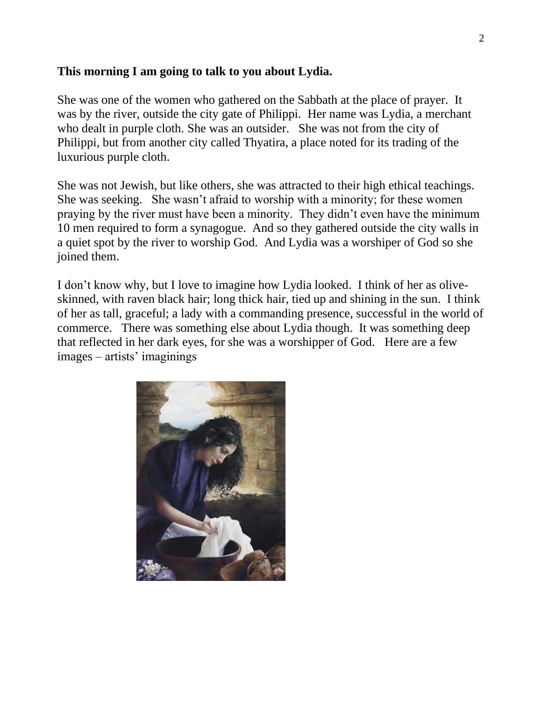## **This morning I am going to talk to you about Lydia.**

She was one of the women who gathered on the Sabbath at the place of prayer. It was by the river, outside the city gate of Philippi. Her name was Lydia, a merchant who dealt in purple cloth. She was an outsider. She was not from the city of Philippi, but from another city called Thyatira, a place noted for its trading of the luxurious purple cloth.

She was not Jewish, but like others, she was attracted to their high ethical teachings. She was seeking. She wasn't afraid to worship with a minority; for these women praying by the river must have been a minority. They didn't even have the minimum 10 men required to form a synagogue. And so they gathered outside the city walls in a quiet spot by the river to worship God. And Lydia was a worshiper of God so she joined them.

I don't know why, but I love to imagine how Lydia looked. I think of her as oliveskinned, with raven black hair; long thick hair, tied up and shining in the sun. I think of her as tall, graceful; a lady with a commanding presence, successful in the world of commerce. There was something else about Lydia though. It was something deep that reflected in her dark eyes, for she was a worshipper of God. Here are a few images – artists' imaginings

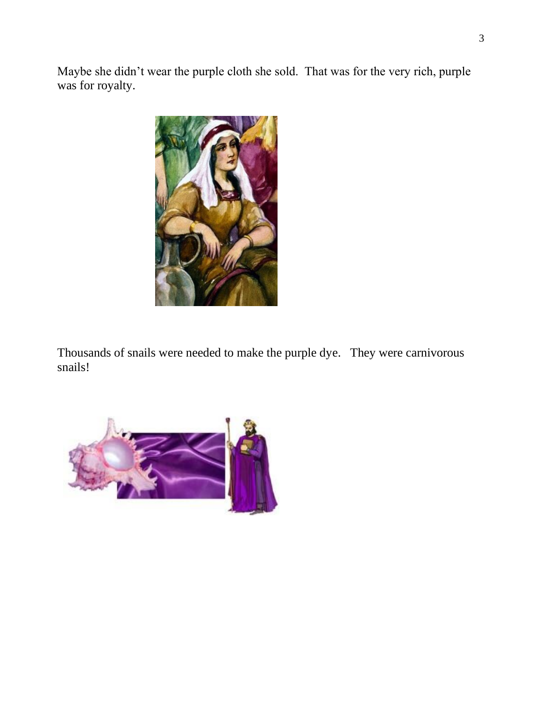Maybe she didn't wear the purple cloth she sold. That was for the very rich, purple was for royalty.



Thousands of snails were needed to make the purple dye. They were carnivorous snails!

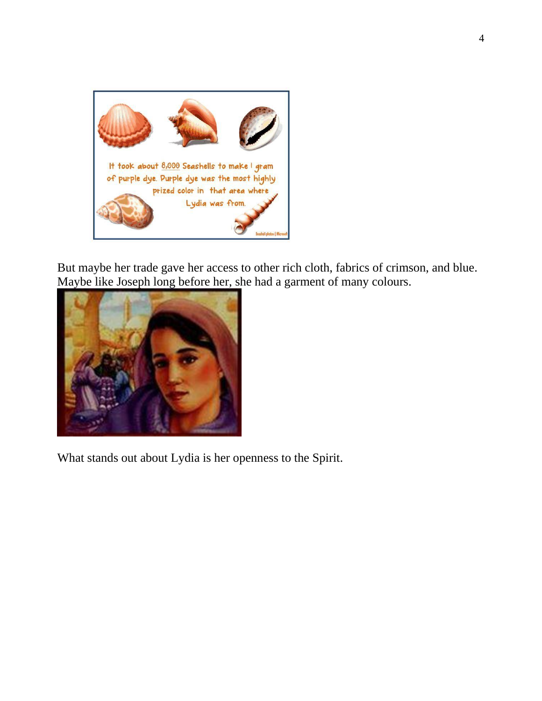

But maybe her trade gave her access to other rich cloth, fabrics of crimson, and blue. Maybe like Joseph long before her, she had a garment of many colours.



What stands out about Lydia is her openness to the Spirit.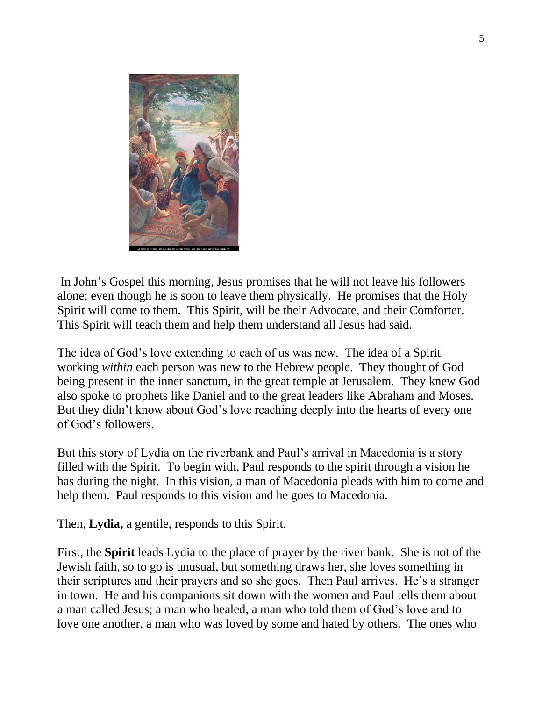

In John's Gospel this morning, Jesus promises that he will not leave his followers alone; even though he is soon to leave them physically. He promises that the Holy Spirit will come to them. This Spirit, will be their Advocate, and their Comforter. This Spirit will teach them and help them understand all Jesus had said.

The idea of God's love extending to each of us was new. The idea of a Spirit working *within* each person was new to the Hebrew people. They thought of God being present in the inner sanctum, in the great temple at Jerusalem. They knew God also spoke to prophets like Daniel and to the great leaders like Abraham and Moses. But they didn't know about God's love reaching deeply into the hearts of every one of God's followers.

But this story of Lydia on the riverbank and Paul's arrival in Macedonia is a story filled with the Spirit. To begin with, Paul responds to the spirit through a vision he has during the night. In this vision, a man of Macedonia pleads with him to come and help them. Paul responds to this vision and he goes to Macedonia.

Then, **Lydia,** a gentile, responds to this Spirit.

First, the **Spirit** leads Lydia to the place of prayer by the river bank. She is not of the Jewish faith, so to go is unusual, but something draws her, she loves something in their scriptures and their prayers and so she goes. Then Paul arrives. He's a stranger in town. He and his companions sit down with the women and Paul tells them about a man called Jesus; a man who healed, a man who told them of God's love and to love one another, a man who was loved by some and hated by others. The ones who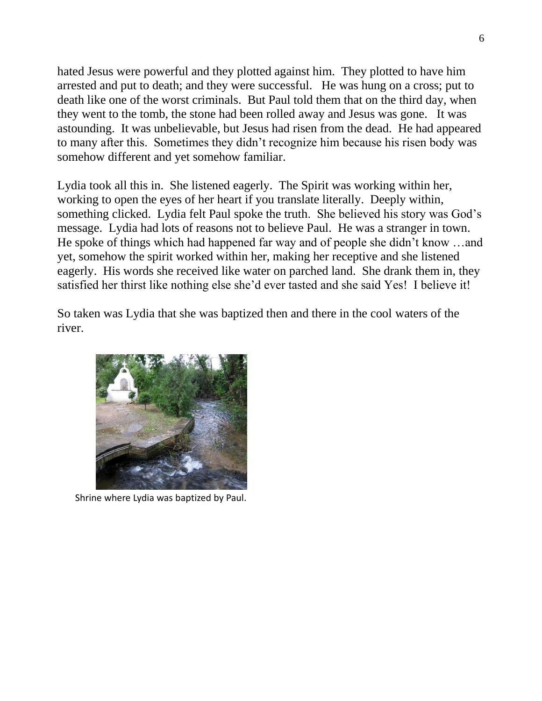hated Jesus were powerful and they plotted against him. They plotted to have him arrested and put to death; and they were successful. He was hung on a cross; put to death like one of the worst criminals. But Paul told them that on the third day, when they went to the tomb, the stone had been rolled away and Jesus was gone. It was astounding. It was unbelievable, but Jesus had risen from the dead. He had appeared to many after this. Sometimes they didn't recognize him because his risen body was somehow different and yet somehow familiar.

Lydia took all this in. She listened eagerly. The Spirit was working within her, working to open the eyes of her heart if you translate literally. Deeply within, something clicked. Lydia felt Paul spoke the truth. She believed his story was God's message. Lydia had lots of reasons not to believe Paul. He was a stranger in town. He spoke of things which had happened far way and of people she didn't know …and yet, somehow the spirit worked within her, making her receptive and she listened eagerly. His words she received like water on parched land. She drank them in, they satisfied her thirst like nothing else she'd ever tasted and she said Yes! I believe it!

So taken was Lydia that she was baptized then and there in the cool waters of the river.



Shrine where Lydia was baptized by Paul.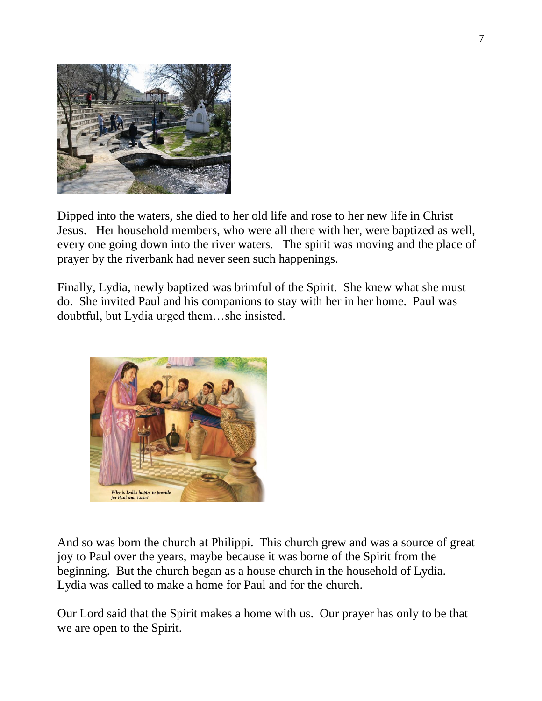

Dipped into the waters, she died to her old life and rose to her new life in Christ Jesus. Her household members, who were all there with her, were baptized as well, every one going down into the river waters. The spirit was moving and the place of prayer by the riverbank had never seen such happenings.

Finally, Lydia, newly baptized was brimful of the Spirit. She knew what she must do. She invited Paul and his companions to stay with her in her home. Paul was doubtful, but Lydia urged them…she insisted.



And so was born the church at Philippi. This church grew and was a source of great joy to Paul over the years, maybe because it was borne of the Spirit from the beginning. But the church began as a house church in the household of Lydia. Lydia was called to make a home for Paul and for the church.

Our Lord said that the Spirit makes a home with us. Our prayer has only to be that we are open to the Spirit.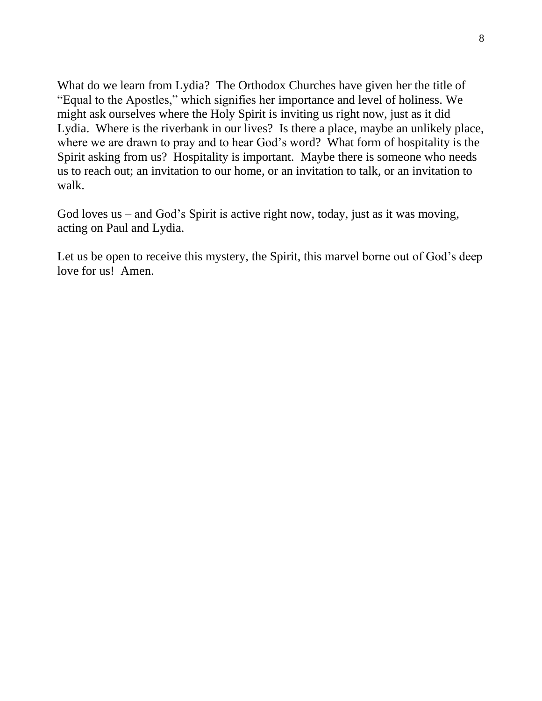What do we learn from Lydia? The Orthodox Churches have given her the title of "Equal to the Apostles," which signifies her importance and level of holiness. We might ask ourselves where the Holy Spirit is inviting us right now, just as it did Lydia. Where is the riverbank in our lives? Is there a place, maybe an unlikely place, where we are drawn to pray and to hear God's word? What form of hospitality is the Spirit asking from us? Hospitality is important. Maybe there is someone who needs us to reach out; an invitation to our home, or an invitation to talk, or an invitation to walk.

God loves us – and God's Spirit is active right now, today, just as it was moving, acting on Paul and Lydia.

Let us be open to receive this mystery, the Spirit, this marvel borne out of God's deep love for us! Amen.